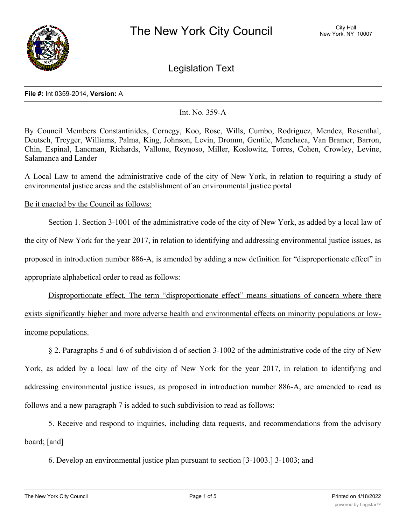

Legislation Text

### **File #:** Int 0359-2014, **Version:** A

## Int. No. 359-A

By Council Members Constantinides, Cornegy, Koo, Rose, Wills, Cumbo, Rodriguez, Mendez, Rosenthal, Deutsch, Treyger, Williams, Palma, King, Johnson, Levin, Dromm, Gentile, Menchaca, Van Bramer, Barron, Chin, Espinal, Lancman, Richards, Vallone, Reynoso, Miller, Koslowitz, Torres, Cohen, Crowley, Levine, Salamanca and Lander

A Local Law to amend the administrative code of the city of New York, in relation to requiring a study of environmental justice areas and the establishment of an environmental justice portal

# Be it enacted by the Council as follows:

Section 1. Section 3-1001 of the administrative code of the city of New York, as added by a local law of the city of New York for the year 2017, in relation to identifying and addressing environmental justice issues, as proposed in introduction number 886-A, is amended by adding a new definition for "disproportionate effect" in appropriate alphabetical order to read as follows:

Disproportionate effect. The term "disproportionate effect" means situations of concern where there exists significantly higher and more adverse health and environmental effects on minority populations or lowincome populations.

§ 2. Paragraphs 5 and 6 of subdivision d of section 3-1002 of the administrative code of the city of New York, as added by a local law of the city of New York for the year 2017, in relation to identifying and addressing environmental justice issues, as proposed in introduction number 886-A, are amended to read as follows and a new paragraph 7 is added to such subdivision to read as follows:

5. Receive and respond to inquiries, including data requests, and recommendations from the advisory board; [and]

6. Develop an environmental justice plan pursuant to section [3-1003.] 3-1003; and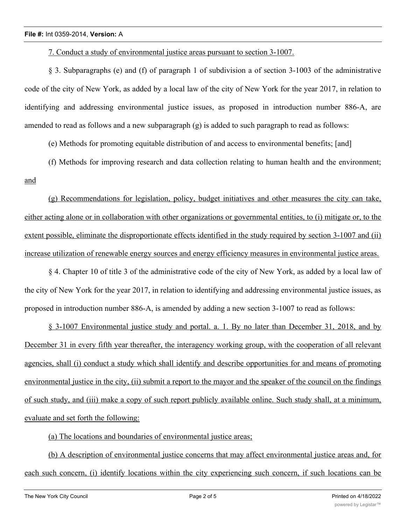7. Conduct a study of environmental justice areas pursuant to section 3-1007.

§ 3. Subparagraphs (e) and (f) of paragraph 1 of subdivision a of section 3-1003 of the administrative code of the city of New York, as added by a local law of the city of New York for the year 2017, in relation to identifying and addressing environmental justice issues, as proposed in introduction number 886-A, are amended to read as follows and a new subparagraph  $(g)$  is added to such paragraph to read as follows:

(e) Methods for promoting equitable distribution of and access to environmental benefits; [and]

(f) Methods for improving research and data collection relating to human health and the environment; and

(g) Recommendations for legislation, policy, budget initiatives and other measures the city can take, either acting alone or in collaboration with other organizations or governmental entities, to (i) mitigate or, to the extent possible, eliminate the disproportionate effects identified in the study required by section 3-1007 and (ii) increase utilization of renewable energy sources and energy efficiency measures in environmental justice areas.

§ 4. Chapter 10 of title 3 of the administrative code of the city of New York, as added by a local law of the city of New York for the year 2017, in relation to identifying and addressing environmental justice issues, as proposed in introduction number 886-A, is amended by adding a new section 3-1007 to read as follows:

§ 3-1007 Environmental justice study and portal. a. 1. By no later than December 31, 2018, and by December 31 in every fifth year thereafter, the interagency working group, with the cooperation of all relevant agencies, shall (i) conduct a study which shall identify and describe opportunities for and means of promoting environmental justice in the city, (ii) submit a report to the mayor and the speaker of the council on the findings of such study, and (iii) make a copy of such report publicly available online. Such study shall, at a minimum, evaluate and set forth the following:

(a) The locations and boundaries of environmental justice areas;

(b) A description of environmental justice concerns that may affect environmental justice areas and, for each such concern, (i) identify locations within the city experiencing such concern, if such locations can be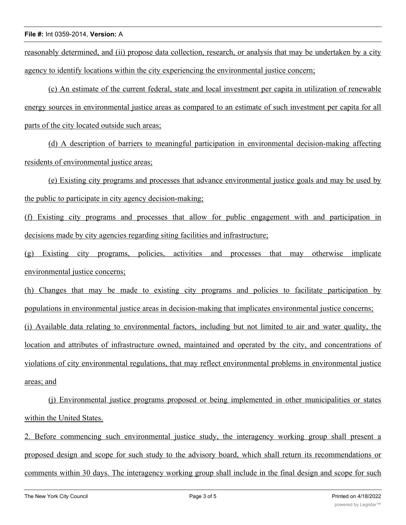reasonably determined, and (ii) propose data collection, research, or analysis that may be undertaken by a city agency to identify locations within the city experiencing the environmental justice concern;

(c) An estimate of the current federal, state and local investment per capita in utilization of renewable energy sources in environmental justice areas as compared to an estimate of such investment per capita for all parts of the city located outside such areas;

(d) A description of barriers to meaningful participation in environmental decision-making affecting residents of environmental justice areas;

(e) Existing city programs and processes that advance environmental justice goals and may be used by the public to participate in city agency decision-making;

(f) Existing city programs and processes that allow for public engagement with and participation in decisions made by city agencies regarding siting facilities and infrastructure;

(g) Existing city programs, policies, activities and processes that may otherwise implicate environmental justice concerns;

(h) Changes that may be made to existing city programs and policies to facilitate participation by populations in environmental justice areas in decision-making that implicates environmental justice concerns; (i) Available data relating to environmental factors, including but not limited to air and water quality, the location and attributes of infrastructure owned, maintained and operated by the city, and concentrations of violations of city environmental regulations, that may reflect environmental problems in environmental justice areas; and

(j) Environmental justice programs proposed or being implemented in other municipalities or states within the United States.

2. Before commencing such environmental justice study, the interagency working group shall present a proposed design and scope for such study to the advisory board, which shall return its recommendations or comments within 30 days. The interagency working group shall include in the final design and scope for such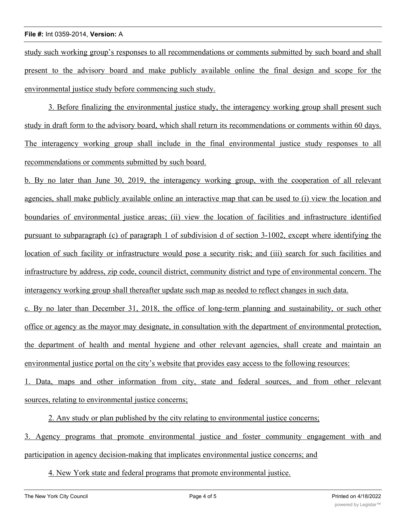### **File #:** Int 0359-2014, **Version:** A

study such working group's responses to all recommendations or comments submitted by such board and shall present to the advisory board and make publicly available online the final design and scope for the environmental justice study before commencing such study.

3. Before finalizing the environmental justice study, the interagency working group shall present such study in draft form to the advisory board, which shall return its recommendations or comments within 60 days. The interagency working group shall include in the final environmental justice study responses to all recommendations or comments submitted by such board.

b. By no later than June 30, 2019, the interagency working group, with the cooperation of all relevant agencies, shall make publicly available online an interactive map that can be used to (i) view the location and boundaries of environmental justice areas; (ii) view the location of facilities and infrastructure identified pursuant to subparagraph (c) of paragraph 1 of subdivision d of section 3-1002, except where identifying the location of such facility or infrastructure would pose a security risk; and (iii) search for such facilities and infrastructure by address, zip code, council district, community district and type of environmental concern. The interagency working group shall thereafter update such map as needed to reflect changes in such data.

c. By no later than December 31, 2018, the office of long-term planning and sustainability, or such other office or agency as the mayor may designate, in consultation with the department of environmental protection, the department of health and mental hygiene and other relevant agencies, shall create and maintain an environmental justice portal on the city's website that provides easy access to the following resources:

1. Data, maps and other information from city, state and federal sources, and from other relevant sources, relating to environmental justice concerns;

2. Any study or plan published by the city relating to environmental justice concerns;

3. Agency programs that promote environmental justice and foster community engagement with and participation in agency decision-making that implicates environmental justice concerns; and

4. New York state and federal programs that promote environmental justice.